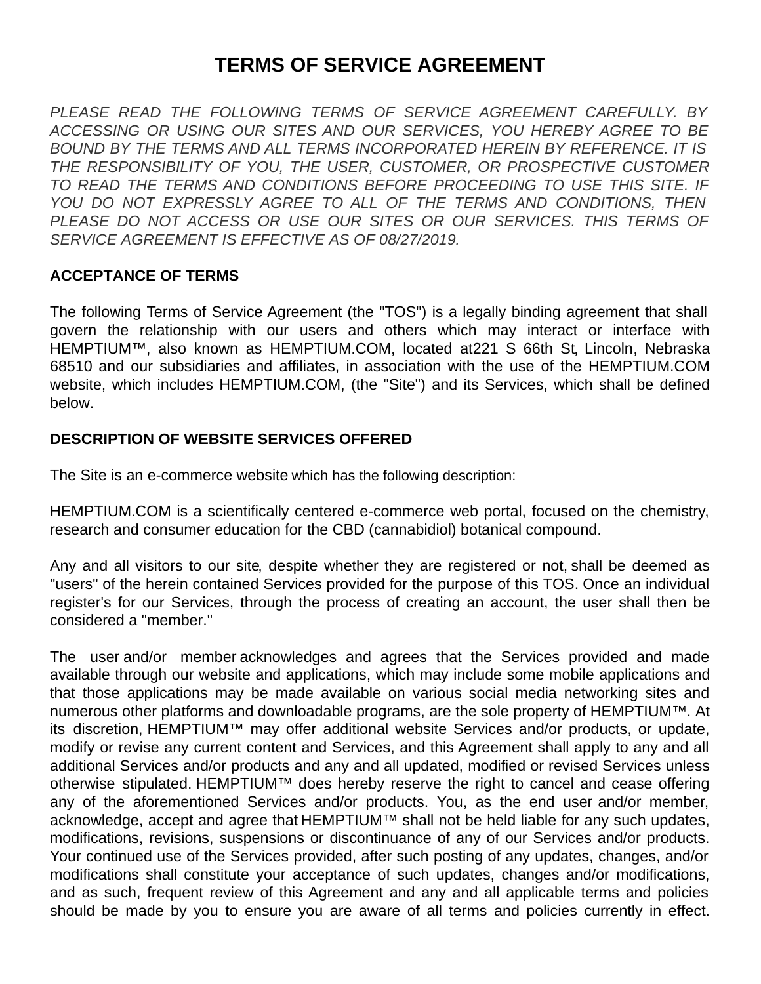# **TERMS OF SERVICE AGREEMENT**

*PLEASE READ THE FOLLOWING TERMS OF SERVICE AGREEMENT CAREFULLY. BY ACCESSING OR USING OUR SITES AND OUR SERVICES, YOU HEREBY AGREE TO BE BOUND BY THE TERMS AND ALL TERMS INCORPORATED HEREIN BY REFERENCE. IT IS THE RESPONSIBILITY OF YOU, THE USER, CUSTOMER, OR PROSPECTIVE CUSTOMER TO READ THE TERMS AND CONDITIONS BEFORE PROCEEDING TO USE THIS SITE. IF YOU DO NOT EXPRESSLY AGREE TO ALL OF THE TERMS AND CONDITIONS, THEN PLEASE DO NOT ACCESS OR USE OUR SITES OR OUR SERVICES. THIS TERMS OF SERVICE AGREEMENT IS EFFECTIVE AS OF 08/27/2019.*

#### **ACCEPTANCE OF TERMS**

The following Terms of Service Agreement (the "TOS") is a legally binding agreement that shall govern the relationship with our users and others which may interact or interface with HEMPTIUM™, also known as HEMPTIUM.COM, located at 221 S 66th St, Lincoln, Nebraska 68510 and our subsidiaries and affiliates, in association with the use of the HEMPTIUM.COM website, which includes HEMPTIUM.COM, (the "Site") and its Services, which shall be defined below.

#### **DESCRIPTION OF WEBSITE SERVICES OFFERED**

The Site is an e-commerce website which has the following description:

HEMPTIUM.COM is a scientifically centered e-commerce web portal, focused on the chemistry, research and consumer education for the CBD (cannabidiol) botanical compound.

Any and all visitors to our site, despite whether they are registered or not, shall be deemed as "users" of the herein contained Services provided for the purpose of this TOS. Once an individual register's for our Services, through the process of creating an account, the user shall then be considered a "member."

The user and/or member acknowledges and agrees that the Services provided and made available through our website and applications, which may include some mobile applications and that those applications may be made available on various social media networking sites and numerous other platforms and downloadable programs, are the sole property of HEMPTIUM™. At its discretion, HEMPTIUM™ may offer additional website Services and/or products, or update, modify or revise any current content and Services, and this Agreement shall apply to any and all additional Services and/or products and any and all updated, modified or revised Services unless otherwise stipulated. HEMPTIUM™ does hereby reserve the right to cancel and cease offering any of the aforementioned Services and/or products. You, as the end user and/or member, acknowledge, accept and agree that HEMPTIUM™ shall not be held liable for any such updates, modifications, revisions, suspensions or discontinuance of any of our Services and/or products. Your continued use of the Services provided, after such posting of any updates, changes, and/or modifications shall constitute your acceptance of such updates, changes and/or modifications, and as such, frequent review of this Agreement and any and all applicable terms and policies should be made by you to ensure you are aware of all terms and policies currently in effect.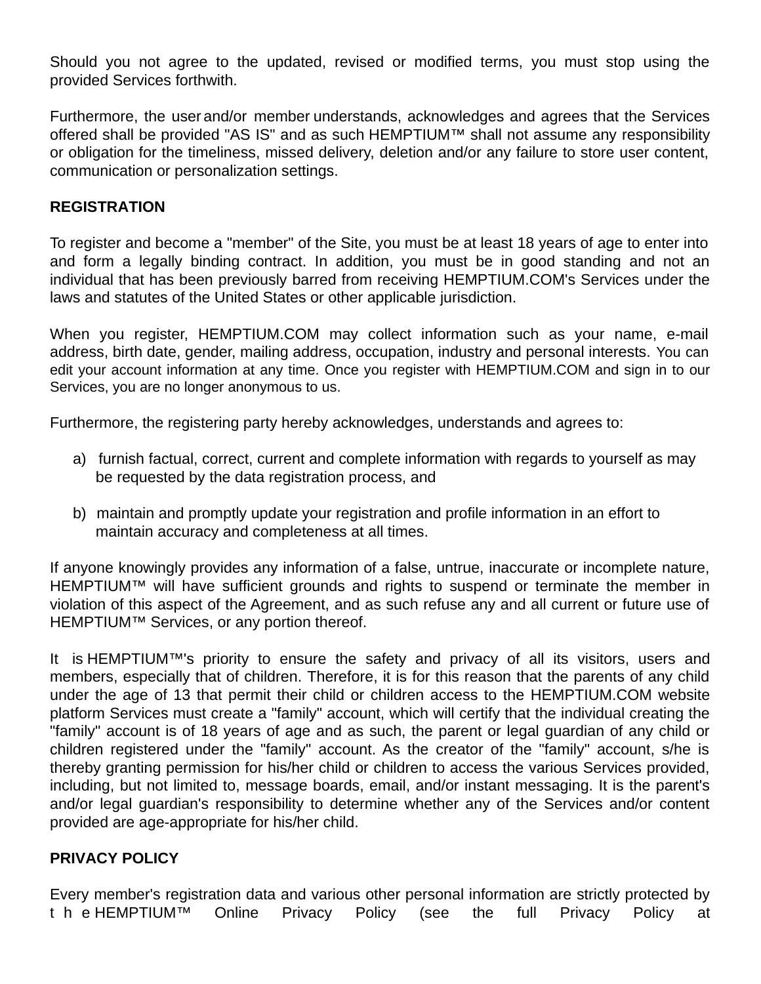Should you not agree to the updated, revised or modified terms, you must stop using the provided Services forthwith.

Furthermore, the user and/or member understands, acknowledges and agrees that the Services offered shall be provided "AS IS" and as such HEMPTIUM™ shall not assume any responsibility or obligation for the timeliness, missed delivery, deletion and/or any failure to store user content, communication or personalization settings.

#### **REGISTRATION**

To register and become a "member" of the Site, you must be at least 18 years of age to enter into and form a legally binding contract. In addition, you must be in good standing and not an individual that has been previously barred from receiving HEMPTIUM.COM's Services under the laws and statutes of the United States or other applicable jurisdiction.

When you register, HEMPTIUM.COM may collect information such as your name, e-mail address, birth date, gender, mailing address, occupation, industry and personal interests. You can edit your account information at any time. Once you register with HEMPTIUM.COM and sign in to our Services, you are no longer anonymous to us.

Furthermore, the registering party hereby acknowledges, understands and agrees to:

- a) furnish factual, correct, current and complete information with regards to yourself as may be requested by the data registration process, and
- b) maintain and promptly update your registration and profile information in an effort to maintain accuracy and completeness at all times.

If anyone knowingly provides any information of a false, untrue, inaccurate or incomplete nature, HEMPTIUM™ will have sufficient grounds and rights to suspend or terminate the member in violation of this aspect of the Agreement, and as such refuse any and all current or future use of HEMPTIUM™ Services, or any portion thereof.

It is HEMPTIUM™'s priority to ensure the safety and privacy of all its visitors, users and members, especially that of children. Therefore, it is for this reason that the parents of any child under the age of 13 that permit their child or children access to the HEMPTIUM.COM website platform Services must create a "family" account, which will certify that the individual creating the "family" account is of 18 years of age and as such, the parent or legal guardian of any child or children registered under the "family" account. As the creator of the "family" account, s/he is thereby granting permission for his/her child or children to access the various Services provided, including, but not limited to, message boards, email, and/or instant messaging. It is the parent's and/or legal guardian's responsibility to determine whether any of the Services and/or content provided are age-appropriate for his/her child.

#### **PRIVACY POLICY**

Every member's registration data and various other personal information are strictly protected by t h e HEMPTIUM™ Online Privacy Policy (see the full Privacy Policy at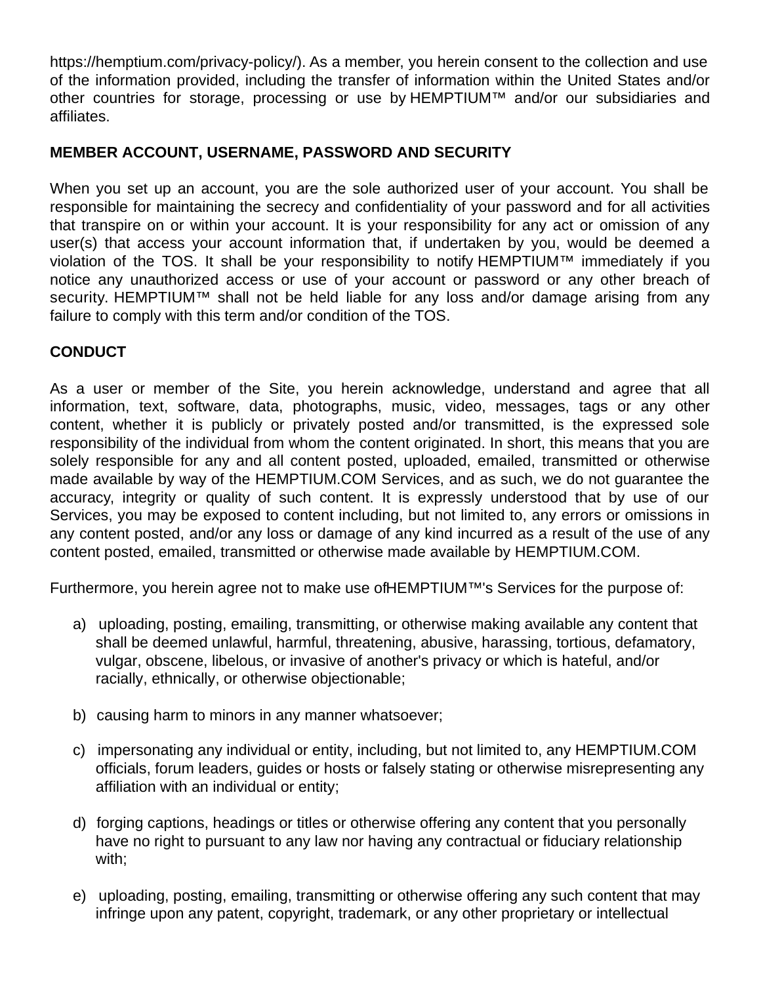https://hemptium.com/privacy-policy/). As a member, you herein consent to the collection and use of the information provided, including the transfer of information within the United States and/or other countries for storage, processing or use by HEMPTIUM™ and/or our subsidiaries and affiliates.

# **MEMBER ACCOUNT, USERNAME, PASSWORD AND SECURITY**

When you set up an account, you are the sole authorized user of your account. You shall be responsible for maintaining the secrecy and confidentiality of your password and for all activities that transpire on or within your account. It is your responsibility for any act or omission of any user(s) that access your account information that, if undertaken by you, would be deemed a violation of the TOS. It shall be your responsibility to notify HEMPTIUM™ immediately if you notice any unauthorized access or use of your account or password or any other breach of security. HEMPTIUM™ shall not be held liable for any loss and/or damage arising from any failure to comply with this term and/or condition of the TOS.

# **CONDUCT**

As a user or member of the Site, you herein acknowledge, understand and agree that all information, text, software, data, photographs, music, video, messages, tags or any other content, whether it is publicly or privately posted and/or transmitted, is the expressed sole responsibility of the individual from whom the content originated. In short, this means that you are solely responsible for any and all content posted, uploaded, emailed, transmitted or otherwise made available by way of the HEMPTIUM.COM Services, and as such, we do not guarantee the accuracy, integrity or quality of such content. It is expressly understood that by use of our Services, you may be exposed to content including, but not limited to, any errors or omissions in any content posted, and/or any loss or damage of any kind incurred as a result of the use of any content posted, emailed, transmitted or otherwise made available by HEMPTIUM.COM.

Furthermore, you herein agree not to make use of HEMPTIUM™'s Services for the purpose of:

- a) uploading, posting, emailing, transmitting, or otherwise making available any content that shall be deemed unlawful, harmful, threatening, abusive, harassing, tortious, defamatory, vulgar, obscene, libelous, or invasive of another's privacy or which is hateful, and/or racially, ethnically, or otherwise objectionable;
- b) causing harm to minors in any manner whatsoever;
- c) impersonating any individual or entity, including, but not limited to, any HEMPTIUM.COM officials, forum leaders, guides or hosts or falsely stating or otherwise misrepresenting any affiliation with an individual or entity;
- d) forging captions, headings or titles or otherwise offering any content that you personally have no right to pursuant to any law nor having any contractual or fiduciary relationship with;
- e) uploading, posting, emailing, transmitting or otherwise offering any such content that may infringe upon any patent, copyright, trademark, or any other proprietary or intellectual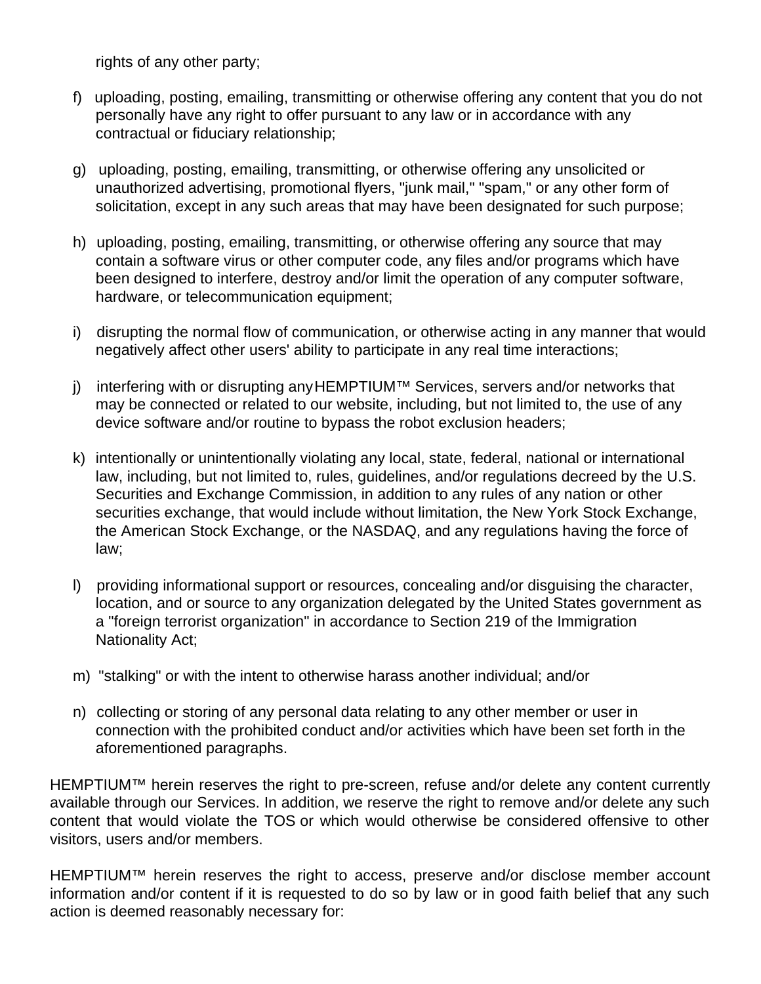rights of any other party;

- f) uploading, posting, emailing, transmitting or otherwise offering any content that you do not personally have any right to offer pursuant to any law or in accordance with any contractual or fiduciary relationship;
- g) uploading, posting, emailing, transmitting, or otherwise offering any unsolicited or unauthorized advertising, promotional flyers, "junk mail," "spam," or any other form of solicitation, except in any such areas that may have been designated for such purpose;
- h) uploading, posting, emailing, transmitting, or otherwise offering any source that may contain a software virus or other computer code, any files and/or programs which have been designed to interfere, destroy and/or limit the operation of any computer software, hardware, or telecommunication equipment;
- i) disrupting the normal flow of communication, or otherwise acting in any manner that would negatively affect other users' ability to participate in any real time interactions;
- j) interfering with or disrupting any HEMPTIUM™ Services, servers and/or networks that may be connected or related to our website, including, but not limited to, the use of any device software and/or routine to bypass the robot exclusion headers;
- k) intentionally or unintentionally violating any local, state, federal, national or international law, including, but not limited to, rules, guidelines, and/or regulations decreed by the U.S. Securities and Exchange Commission, in addition to any rules of any nation or other securities exchange, that would include without limitation, the New York Stock Exchange, the American Stock Exchange, or the NASDAQ, and any regulations having the force of law;
- l) providing informational support or resources, concealing and/or disguising the character, location, and or source to any organization delegated by the United States government as a "foreign terrorist organization" in accordance to Section 219 of the Immigration Nationality Act;
- m) "stalking" or with the intent to otherwise harass another individual; and/or
- n) collecting or storing of any personal data relating to any other member or user in connection with the prohibited conduct and/or activities which have been set forth in the aforementioned paragraphs.

HEMPTIUM™ herein reserves the right to pre-screen, refuse and/or delete any content currently available through our Services. In addition, we reserve the right to remove and/or delete any such content that would violate the TOS or which would otherwise be considered offensive to other visitors, users and/or members.

HEMPTIUM™ herein reserves the right to access, preserve and/or disclose member account information and/or content if it is requested to do so by law or in good faith belief that any such action is deemed reasonably necessary for: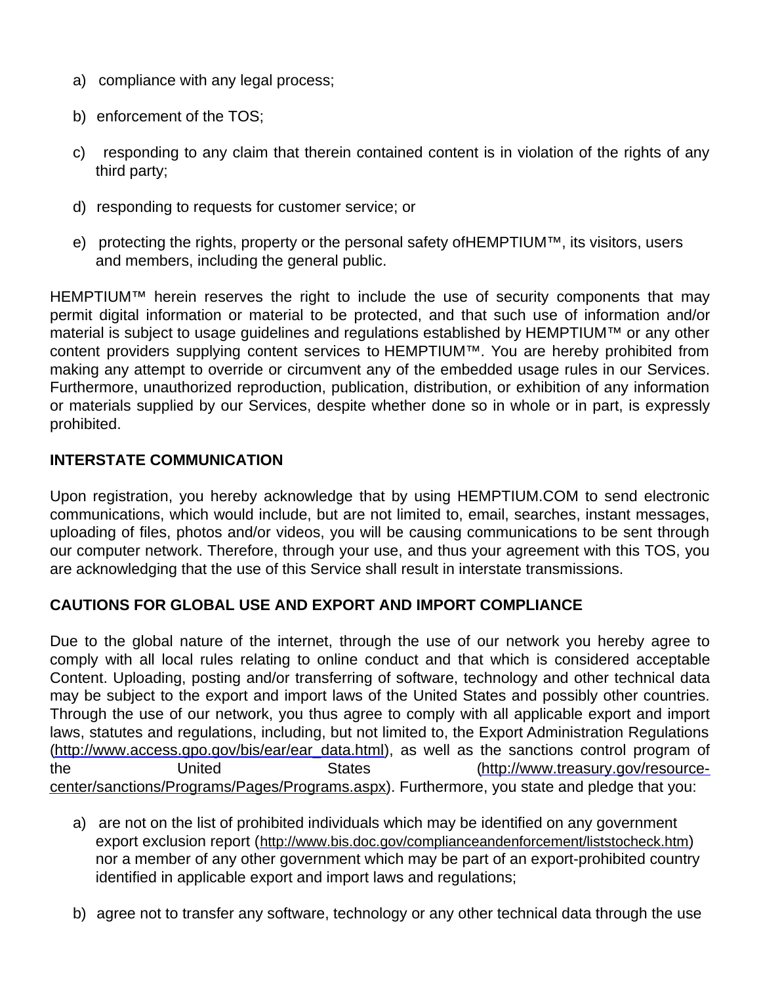- a) compliance with any legal process;
- b) enforcement of the TOS;
- c) responding to any claim that therein contained content is in violation of the rights of any third party;
- d) responding to requests for customer service; or
- e) protecting the rights, property or the personal safety of HEMPTIUM™, its visitors, users and members, including the general public.

HEMPTIUM™ herein reserves the right to include the use of security components that may permit digital information or material to be protected, and that such use of information and/or material is subject to usage guidelines and regulations established by HEMPTIUM™ or any other content providers supplying content services to HEMPTIUM™. You are hereby prohibited from making any attempt to override or circumvent any of the embedded usage rules in our Services. Furthermore, unauthorized reproduction, publication, distribution, or exhibition of any information or materials supplied by our Services, despite whether done so in whole or in part, is expressly prohibited.

#### **INTERSTATE COMMUNICATION**

Upon registration, you hereby acknowledge that by using HEMPTIUM.COM to send electronic communications, which would include, but are not limited to, email, searches, instant messages, uploading of files, photos and/or videos, you will be causing communications to be sent through our computer network. Therefore, through your use, and thus your agreement with this TOS, you are acknowledging that the use of this Service shall result in interstate transmissions.

## **CAUTIONS FOR GLOBAL USE AND EXPORT AND IMPORT COMPLIANCE**

Due to the global nature of the internet, through the use of our network you hereby agree to comply with all local rules relating to online conduct and that which is considered acceptable Content. Uploading, posting and/or transferring of software, technology and other technical data may be subject to the export and import laws of the United States and possibly other countries. Through the use of our network, you thus agree to comply with all applicable export and import laws, statutes and regulations, including, but not limited to, the Export Administration Regulations (http://www.access.gpo.gov/bis/ear/ear\_data.html), as well as the sanctions control program of the United States (http://www.treasury.gov/resourcecenter/sanctions/Programs/Pages/Programs.aspx). Furthermore, you state and pledge that you:

- a) are not on the list of prohibited individuals which may be identified on any government export exclusion report (http://www.bis.doc.gov/complianceandenforcement/liststocheck.htm) nor a member of any other government which may be part of an export-prohibited country identified in applicable export and import laws and regulations;
- b) agree not to transfer any software, technology or any other technical data through the use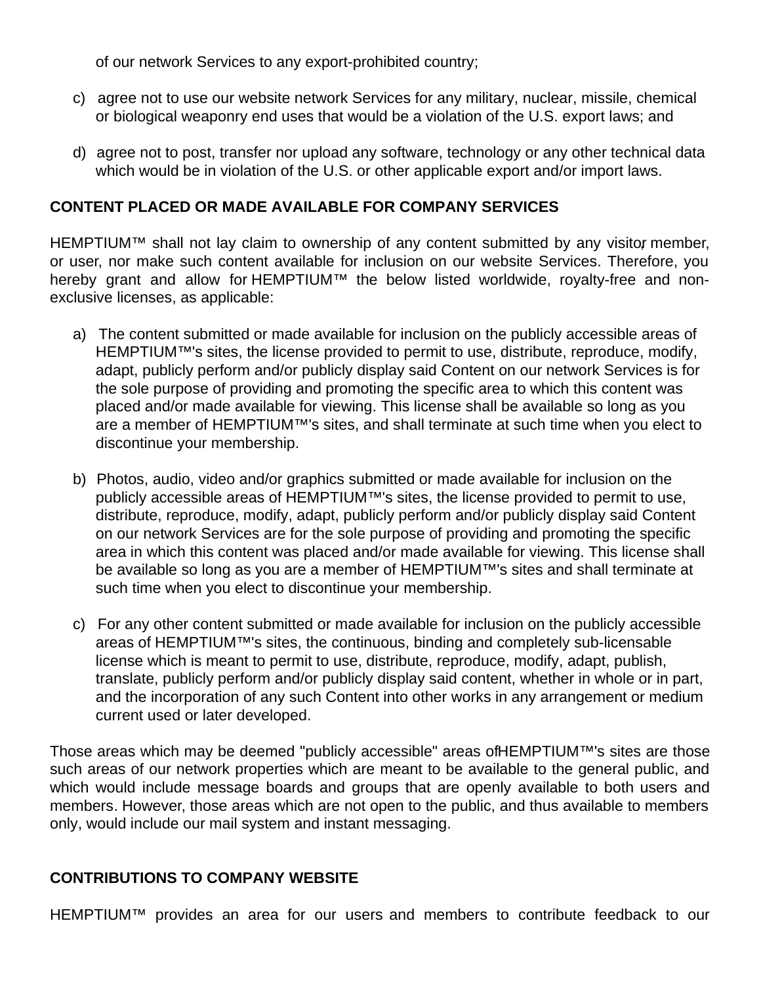of our network Services to any export-prohibited country;

- c) agree not to use our website network Services for any military, nuclear, missile, chemical or biological weaponry end uses that would be a violation of the U.S. export laws; and
- d) agree not to post, transfer nor upload any software, technology or any other technical data which would be in violation of the U.S. or other applicable export and/or import laws.

#### **CONTENT PLACED OR MADE AVAILABLE FOR COMPANY SERVICES**

HEMPTIUM™ shall not lay claim to ownership of any content submitted by any visitor member, or user, nor make such content available for inclusion on our website Services. Therefore, you hereby grant and allow for HEMPTIUM™ the below listed worldwide, royalty-free and nonexclusive licenses, as applicable:

- a) The content submitted or made available for inclusion on the publicly accessible areas of HEMPTIUM™'s sites, the license provided to permit to use, distribute, reproduce, modify, adapt, publicly perform and/or publicly display said Content on our network Services is for the sole purpose of providing and promoting the specific area to which this content was placed and/or made available for viewing. This license shall be available so long as you are a member of HEMPTIUM™'s sites, and shall terminate at such time when you elect to discontinue your membership.
- b) Photos, audio, video and/or graphics submitted or made available for inclusion on the publicly accessible areas of HEMPTIUM™'s sites, the license provided to permit to use, distribute, reproduce, modify, adapt, publicly perform and/or publicly display said Content on our network Services are for the sole purpose of providing and promoting the specific area in which this content was placed and/or made available for viewing. This license shall be available so long as you are a member of HEMPTIUM™'s sites and shall terminate at such time when you elect to discontinue your membership.
- c) For any other content submitted or made available for inclusion on the publicly accessible areas of HEMPTIUM™'s sites, the continuous, binding and completely sub-licensable license which is meant to permit to use, distribute, reproduce, modify, adapt, publish, translate, publicly perform and/or publicly display said content, whether in whole or in part, and the incorporation of any such Content into other works in any arrangement or medium current used or later developed.

Those areas which may be deemed "publicly accessible" areas of HEMPTIUM™'s sites are those such areas of our network properties which are meant to be available to the general public, and which would include message boards and groups that are openly available to both users and members. However, those areas which are not open to the public, and thus available to members only, would include our mail system and instant messaging.

## **CONTRIBUTIONS TO COMPANY WEBSITE**

HEMPTIUM™ provides an area for our users and members to contribute feedback to our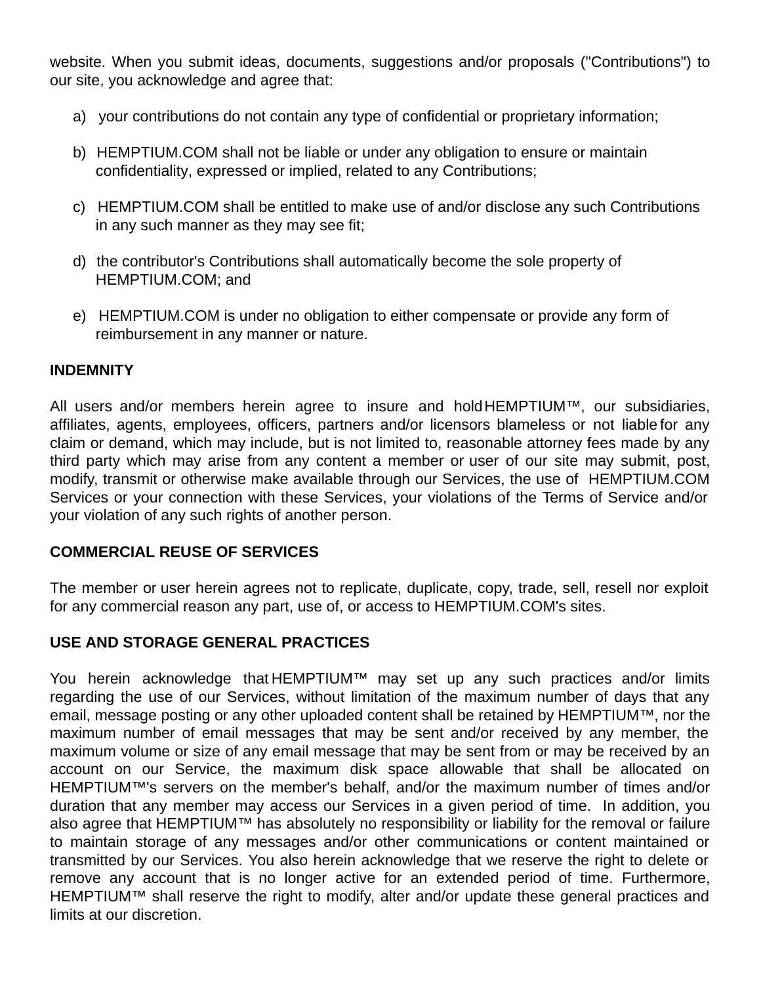website. When you submit ideas, documents, suggestions and/or proposals ("Contributions") to our site, you acknowledge and agree that:

- a) your contributions do not contain any type of confidential or proprietary information;
- b) HEMPTIUM.COM shall not be liable or under any obligation to ensure or maintain confidentiality, expressed or implied, related to any Contributions;
- c) HEMPTIUM.COM shall be entitled to make use of and/or disclose any such Contributions in any such manner as they may see fit;
- d) the contributor's Contributions shall automatically become the sole property of HEMPTIUM.COM; and
- e) HEMPTIUM.COM is under no obligation to either compensate or provide any form of reimbursement in any manner or nature.

#### **INDEMNITY**

All users and/or members herein agree to insure and hold HEMPTIUM™, our subsidiaries, affiliates, agents, employees, officers, partners and/or licensors blameless or not liable for any claim or demand, which may include, but is not limited to, reasonable attorney fees made by any third party which may arise from any content a member or user of our site may submit, post, modify, transmit or otherwise make available through our Services, the use of HEMPTIUM.COM Services or your connection with these Services, your violations of the Terms of Service and/or your violation of any such rights of another person.

## **COMMERCIAL REUSE OF SERVICES**

The member or user herein agrees not to replicate, duplicate, copy, trade, sell, resell nor exploit for any commercial reason any part, use of, or access to HEMPTIUM.COM's sites.

## **USE AND STORAGE GENERAL PRACTICES**

You herein acknowledge that HEMPTIUM™ may set up any such practices and/or limits regarding the use of our Services, without limitation of the maximum number of days that any email, message posting or any other uploaded content shall be retained by HEMPTIUM™, nor the maximum number of email messages that may be sent and/or received by any member, the maximum volume or size of any email message that may be sent from or may be received by an account on our Service, the maximum disk space allowable that shall be allocated on HEMPTIUM™'s servers on the member's behalf, and/or the maximum number of times and/or duration that any member may access our Services in a given period of time. In addition, you also agree that HEMPTIUM™ has absolutely no responsibility or liability for the removal or failure to maintain storage of any messages and/or other communications or content maintained or transmitted by our Services. You also herein acknowledge that we reserve the right to delete or remove any account that is no longer active for an extended period of time. Furthermore, HEMPTIUM™ shall reserve the right to modify, alter and/or update these general practices and limits at our discretion.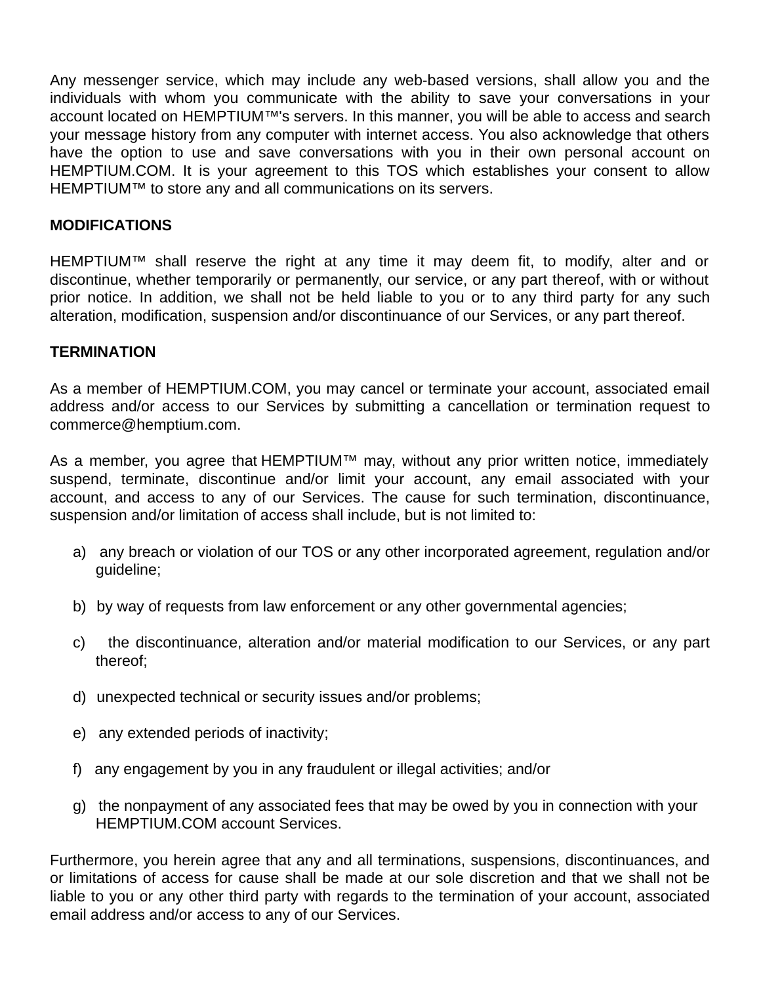Any messenger service, which may include any web-based versions, shall allow you and the individuals with whom you communicate with the ability to save your conversations in your account located on HEMPTIUM™'s servers. In this manner, you will be able to access and search your message history from any computer with internet access. You also acknowledge that others have the option to use and save conversations with you in their own personal account on HEMPTIUM.COM. It is your agreement to this TOS which establishes your consent to allow HEMPTIUM™ to store any and all communications on its servers.

#### **MODIFICATIONS**

HEMPTIUM™ shall reserve the right at any time it may deem fit, to modify, alter and or discontinue, whether temporarily or permanently, our service, or any part thereof, with or without prior notice. In addition, we shall not be held liable to you or to any third party for any such alteration, modification, suspension and/or discontinuance of our Services, or any part thereof.

#### **TERMINATION**

As a member of HEMPTIUM.COM, you may cancel or terminate your account, associated email address and/or access to our Services by submitting a cancellation or termination request to commerce@hemptium.com.

As a member, you agree that HEMPTIUM™ may, without any prior written notice, immediately suspend, terminate, discontinue and/or limit your account, any email associated with your account, and access to any of our Services. The cause for such termination, discontinuance, suspension and/or limitation of access shall include, but is not limited to:

- a) any breach or violation of our TOS or any other incorporated agreement, regulation and/or guideline;
- b) by way of requests from law enforcement or any other governmental agencies;
- c) the discontinuance, alteration and/or material modification to our Services, or any part thereof;
- d) unexpected technical or security issues and/or problems;
- e) any extended periods of inactivity;
- f) any engagement by you in any fraudulent or illegal activities; and/or
- g) the nonpayment of any associated fees that may be owed by you in connection with your HEMPTIUM.COM account Services.

Furthermore, you herein agree that any and all terminations, suspensions, discontinuances, and or limitations of access for cause shall be made at our sole discretion and that we shall not be liable to you or any other third party with regards to the termination of your account, associated email address and/or access to any of our Services.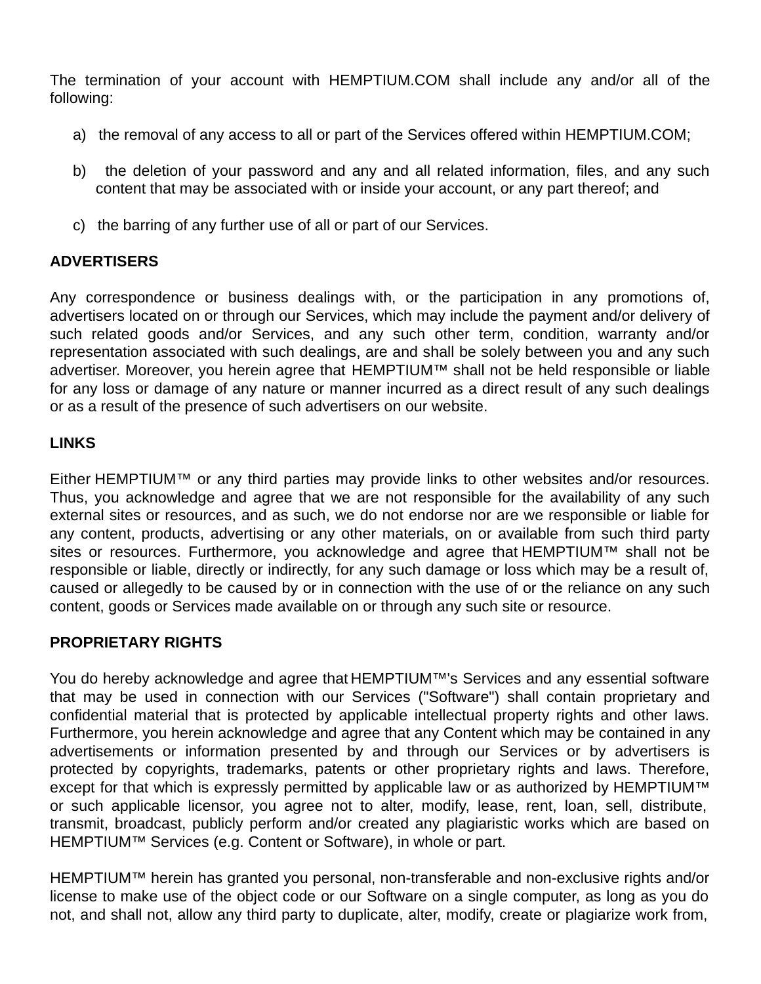The termination of your account with HEMPTIUM.COM shall include any and/or all of the following:

- a) the removal of any access to all or part of the Services offered within HEMPTIUM.COM;
- b) the deletion of your password and any and all related information, files, and any such content that may be associated with or inside your account, or any part thereof; and
- c) the barring of any further use of all or part of our Services.

#### **ADVERTISERS**

Any correspondence or business dealings with, or the participation in any promotions of, advertisers located on or through our Services, which may include the payment and/or delivery of such related goods and/or Services, and any such other term, condition, warranty and/or representation associated with such dealings, are and shall be solely between you and any such advertiser. Moreover, you herein agree that HEMPTIUM™ shall not be held responsible or liable for any loss or damage of any nature or manner incurred as a direct result of any such dealings or as a result of the presence of such advertisers on our website.

## **LINKS**

Either HEMPTIUM™ or any third parties may provide links to other websites and/or resources. Thus, you acknowledge and agree that we are not responsible for the availability of any such external sites or resources, and as such, we do not endorse nor are we responsible or liable for any content, products, advertising or any other materials, on or available from such third party sites or resources. Furthermore, you acknowledge and agree that HEMPTIUM™ shall not be responsible or liable, directly or indirectly, for any such damage or loss which may be a result of, caused or allegedly to be caused by or in connection with the use of or the reliance on any such content, goods or Services made available on or through any such site or resource.

#### **PROPRIETARY RIGHTS**

You do hereby acknowledge and agree that HEMPTIUM™'s Services and any essential software that may be used in connection with our Services ("Software") shall contain proprietary and confidential material that is protected by applicable intellectual property rights and other laws. Furthermore, you herein acknowledge and agree that any Content which may be contained in any advertisements or information presented by and through our Services or by advertisers is protected by copyrights, trademarks, patents or other proprietary rights and laws. Therefore, except for that which is expressly permitted by applicable law or as authorized by HEMPTIUM™ or such applicable licensor, you agree not to alter, modify, lease, rent, loan, sell, distribute, transmit, broadcast, publicly perform and/or created any plagiaristic works which are based on HEMPTIUM™ Services (e.g. Content or Software), in whole or part.

HEMPTIUM™ herein has granted you personal, non-transferable and non-exclusive rights and/or license to make use of the object code or our Software on a single computer, as long as you do not, and shall not, allow any third party to duplicate, alter, modify, create or plagiarize work from,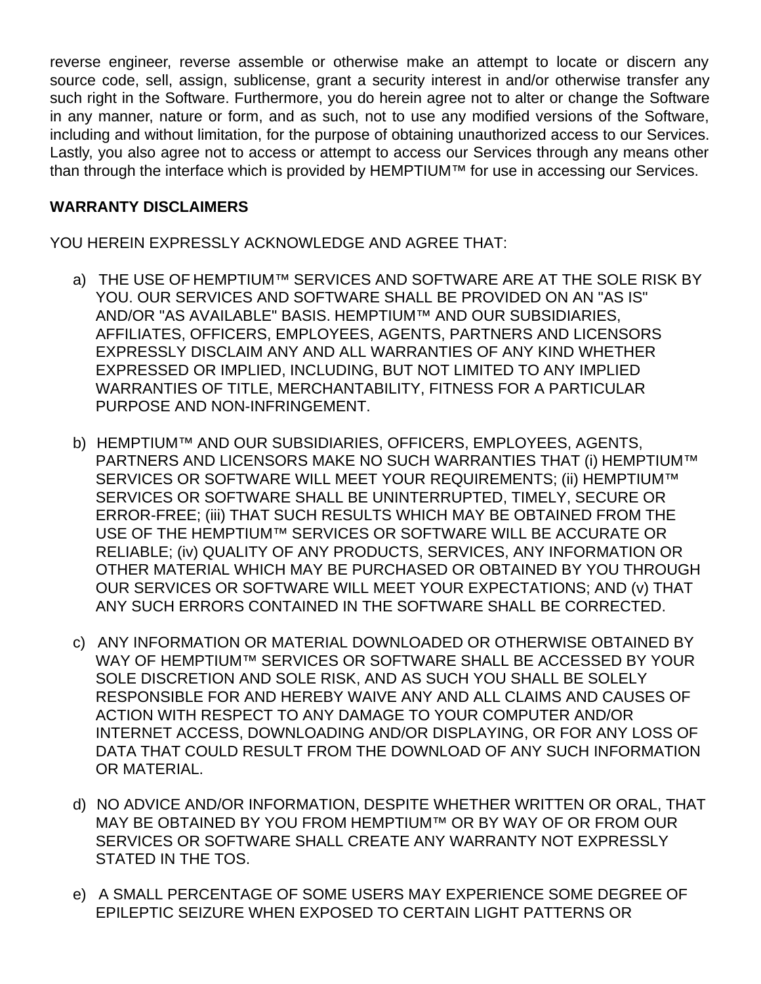reverse engineer, reverse assemble or otherwise make an attempt to locate or discern any source code, sell, assign, sublicense, grant a security interest in and/or otherwise transfer any such right in the Software. Furthermore, you do herein agree not to alter or change the Software in any manner, nature or form, and as such, not to use any modified versions of the Software, including and without limitation, for the purpose of obtaining unauthorized access to our Services. Lastly, you also agree not to access or attempt to access our Services through any means other than through the interface which is provided by HEMPTIUM™ for use in accessing our Services.

## **WARRANTY DISCLAIMERS**

YOU HEREIN EXPRESSLY ACKNOWLEDGE AND AGREE THAT:

- a) THE USE OF HEMPTIUM™ SERVICES AND SOFTWARE ARE AT THE SOLE RISK BY YOU. OUR SERVICES AND SOFTWARE SHALL BE PROVIDED ON AN "AS IS" AND/OR "AS AVAILABLE" BASIS. HEMPTIUM™ AND OUR SUBSIDIARIES, AFFILIATES, OFFICERS, EMPLOYEES, AGENTS, PARTNERS AND LICENSORS EXPRESSLY DISCLAIM ANY AND ALL WARRANTIES OF ANY KIND WHETHER EXPRESSED OR IMPLIED, INCLUDING, BUT NOT LIMITED TO ANY IMPLIED WARRANTIES OF TITLE, MERCHANTABILITY, FITNESS FOR A PARTICULAR PURPOSE AND NON-INFRINGEMENT.
- b) HEMPTIUM™ AND OUR SUBSIDIARIES, OFFICERS, EMPLOYEES, AGENTS, PARTNERS AND LICENSORS MAKE NO SUCH WARRANTIES THAT (i) HEMPTIUM™ SERVICES OR SOFTWARE WILL MEET YOUR REQUIREMENTS; (ii) HEMPTIUM™ SERVICES OR SOFTWARE SHALL BE UNINTERRUPTED, TIMELY, SECURE OR ERROR-FREE; (iii) THAT SUCH RESULTS WHICH MAY BE OBTAINED FROM THE USE OF THE HEMPTIUM™ SERVICES OR SOFTWARE WILL BE ACCURATE OR RELIABLE; (iv) QUALITY OF ANY PRODUCTS, SERVICES, ANY INFORMATION OR OTHER MATERIAL WHICH MAY BE PURCHASED OR OBTAINED BY YOU THROUGH OUR SERVICES OR SOFTWARE WILL MEET YOUR EXPECTATIONS; AND (v) THAT ANY SUCH ERRORS CONTAINED IN THE SOFTWARE SHALL BE CORRECTED.
- c) ANY INFORMATION OR MATERIAL DOWNLOADED OR OTHERWISE OBTAINED BY WAY OF HEMPTIUM™ SERVICES OR SOFTWARE SHALL BE ACCESSED BY YOUR SOLE DISCRETION AND SOLE RISK, AND AS SUCH YOU SHALL BE SOLELY RESPONSIBLE FOR AND HEREBY WAIVE ANY AND ALL CLAIMS AND CAUSES OF ACTION WITH RESPECT TO ANY DAMAGE TO YOUR COMPUTER AND/OR INTERNET ACCESS, DOWNLOADING AND/OR DISPLAYING, OR FOR ANY LOSS OF DATA THAT COULD RESULT FROM THE DOWNLOAD OF ANY SUCH INFORMATION OR MATERIAL.
- d) NO ADVICE AND/OR INFORMATION, DESPITE WHETHER WRITTEN OR ORAL, THAT MAY BE OBTAINED BY YOU FROM HEMPTIUM™ OR BY WAY OF OR FROM OUR SERVICES OR SOFTWARE SHALL CREATE ANY WARRANTY NOT EXPRESSLY STATED IN THE TOS.
- e) A SMALL PERCENTAGE OF SOME USERS MAY EXPERIENCE SOME DEGREE OF EPILEPTIC SEIZURE WHEN EXPOSED TO CERTAIN LIGHT PATTERNS OR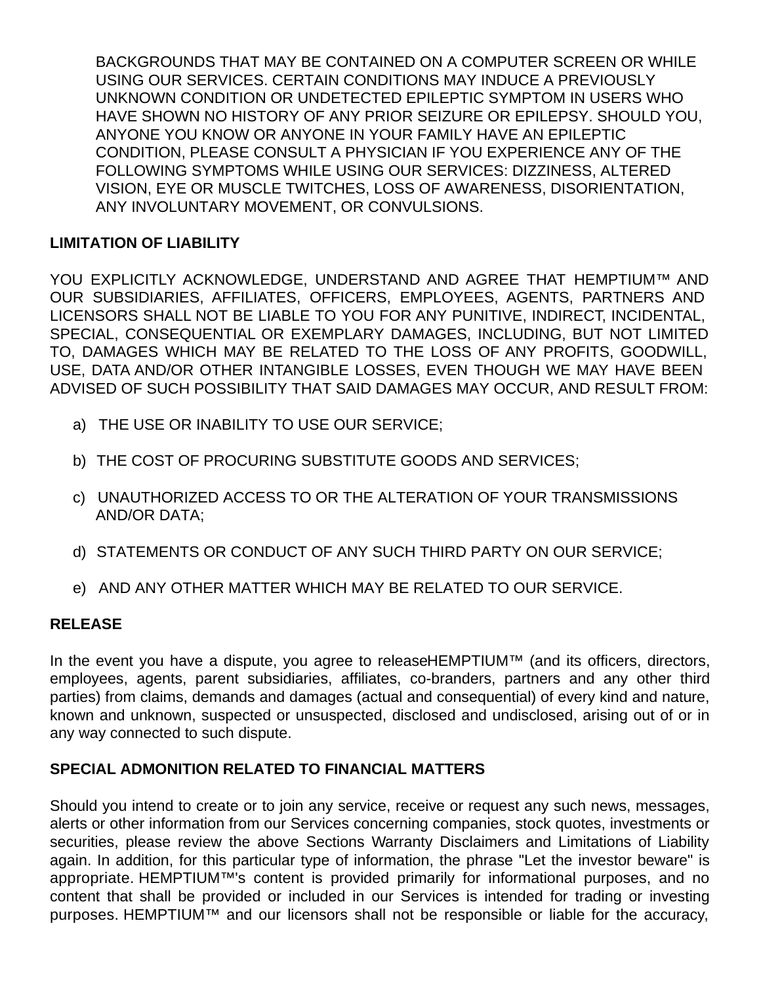BACKGROUNDS THAT MAY BE CONTAINED ON A COMPUTER SCREEN OR WHILE USING OUR SERVICES. CERTAIN CONDITIONS MAY INDUCE A PREVIOUSLY UNKNOWN CONDITION OR UNDETECTED EPILEPTIC SYMPTOM IN USERS WHO HAVE SHOWN NO HISTORY OF ANY PRIOR SEIZURE OR EPILEPSY. SHOULD YOU, ANYONE YOU KNOW OR ANYONE IN YOUR FAMILY HAVE AN EPILEPTIC CONDITION, PLEASE CONSULT A PHYSICIAN IF YOU EXPERIENCE ANY OF THE FOLLOWING SYMPTOMS WHILE USING OUR SERVICES: DIZZINESS, ALTERED VISION, EYE OR MUSCLE TWITCHES, LOSS OF AWARENESS, DISORIENTATION, ANY INVOLUNTARY MOVEMENT, OR CONVULSIONS.

## **LIMITATION OF LIABILITY**

YOU EXPLICITLY ACKNOWLEDGE, UNDERSTAND AND AGREE THAT HEMPTIUM™ AND OUR SUBSIDIARIES, AFFILIATES, OFFICERS, EMPLOYEES, AGENTS, PARTNERS AND LICENSORS SHALL NOT BE LIABLE TO YOU FOR ANY PUNITIVE, INDIRECT, INCIDENTAL, SPECIAL, CONSEQUENTIAL OR EXEMPLARY DAMAGES, INCLUDING, BUT NOT LIMITED TO, DAMAGES WHICH MAY BE RELATED TO THE LOSS OF ANY PROFITS, GOODWILL, USE, DATA AND/OR OTHER INTANGIBLE LOSSES, EVEN THOUGH WE MAY HAVE BEEN ADVISED OF SUCH POSSIBILITY THAT SAID DAMAGES MAY OCCUR, AND RESULT FROM:

- a) THE USE OR INABILITY TO USE OUR SERVICE;
- b) THE COST OF PROCURING SUBSTITUTE GOODS AND SERVICES;
- c) UNAUTHORIZED ACCESS TO OR THE ALTERATION OF YOUR TRANSMISSIONS AND/OR DATA;
- d) STATEMENTS OR CONDUCT OF ANY SUCH THIRD PARTY ON OUR SERVICE;
- e) AND ANY OTHER MATTER WHICH MAY BE RELATED TO OUR SERVICE.

#### **RELEASE**

In the event you have a dispute, you agree to release HEMPTIUM™ (and its officers, directors, employees, agents, parent subsidiaries, affiliates, co-branders, partners and any other third parties) from claims, demands and damages (actual and consequential) of every kind and nature, known and unknown, suspected or unsuspected, disclosed and undisclosed, arising out of or in any way connected to such dispute.

## **SPECIAL ADMONITION RELATED TO FINANCIAL MATTERS**

Should you intend to create or to join any service, receive or request any such news, messages, alerts or other information from our Services concerning companies, stock quotes, investments or securities, please review the above Sections Warranty Disclaimers and Limitations of Liability again. In addition, for this particular type of information, the phrase "Let the investor beware" is appropriate. HEMPTIUM™'s content is provided primarily for informational purposes, and no content that shall be provided or included in our Services is intended for trading or investing purposes. HEMPTIUM™ and our licensors shall not be responsible or liable for the accuracy,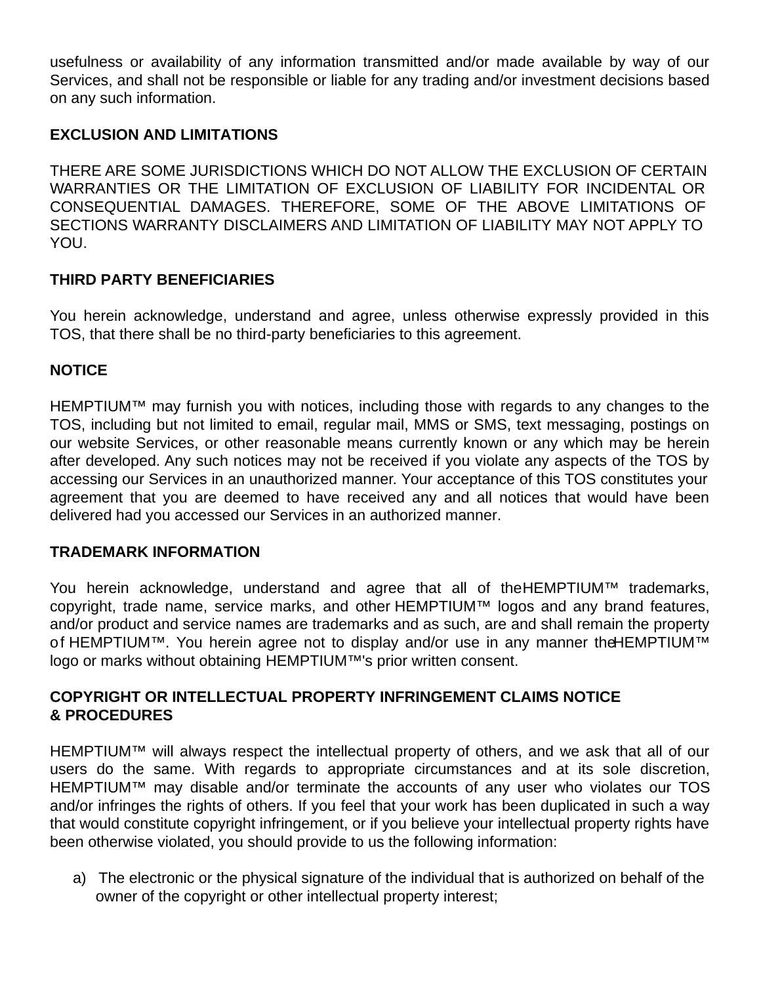usefulness or availability of any information transmitted and/or made available by way of our Services, and shall not be responsible or liable for any trading and/or investment decisions based on any such information.

## **EXCLUSION AND LIMITATIONS**

THERE ARE SOME JURISDICTIONS WHICH DO NOT ALLOW THE EXCLUSION OF CERTAIN WARRANTIES OR THE LIMITATION OF EXCLUSION OF LIABILITY FOR INCIDENTAL OR CONSEQUENTIAL DAMAGES. THEREFORE, SOME OF THE ABOVE LIMITATIONS OF SECTIONS WARRANTY DISCLAIMERS AND LIMITATION OF LIABILITY MAY NOT APPLY TO YOU.

## **THIRD PARTY BENEFICIARIES**

You herein acknowledge, understand and agree, unless otherwise expressly provided in this TOS, that there shall be no third-party beneficiaries to this agreement.

#### **NOTICE**

HEMPTIUM™ may furnish you with notices, including those with regards to any changes to the TOS, including but not limited to email, regular mail, MMS or SMS, text messaging, postings on our website Services, or other reasonable means currently known or any which may be herein after developed. Any such notices may not be received if you violate any aspects of the TOS by accessing our Services in an unauthorized manner. Your acceptance of this TOS constitutes your agreement that you are deemed to have received any and all notices that would have been delivered had you accessed our Services in an authorized manner.

#### **TRADEMARK INFORMATION**

You herein acknowledge, understand and agree that all of the HEMPTIUM™ trademarks, copyright, trade name, service marks, and other HEMPTIUM™ logos and any brand features, and/or product and service names are trademarks and as such, are and shall remain the property of HEMPTIUM™. You herein agree not to display and/or use in any manner the HEMPTIUM™ logo or marks without obtaining HEMPTIUM™'s prior written consent.

#### **COPYRIGHT OR INTELLECTUAL PROPERTY INFRINGEMENT CLAIMS NOTICE & PROCEDURES**

HEMPTIUM™ will always respect the intellectual property of others, and we ask that all of our users do the same. With regards to appropriate circumstances and at its sole discretion, HEMPTIUM™ may disable and/or terminate the accounts of any user who violates our TOS and/or infringes the rights of others. If you feel that your work has been duplicated in such a way that would constitute copyright infringement, or if you believe your intellectual property rights have been otherwise violated, you should provide to us the following information:

a) The electronic or the physical signature of the individual that is authorized on behalf of the owner of the copyright or other intellectual property interest;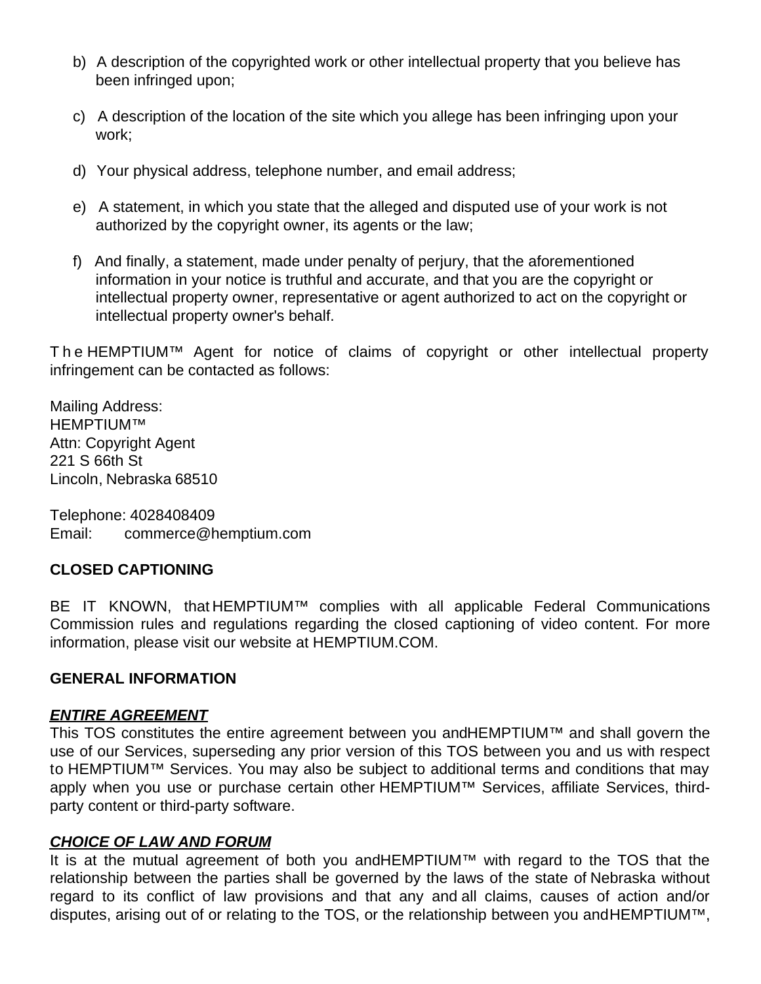- b) A description of the copyrighted work or other intellectual property that you believe has been infringed upon;
- c) A description of the location of the site which you allege has been infringing upon your work;
- d) Your physical address, telephone number, and email address;
- e) A statement, in which you state that the alleged and disputed use of your work is not authorized by the copyright owner, its agents or the law;
- f) And finally, a statement, made under penalty of perjury, that the aforementioned information in your notice is truthful and accurate, and that you are the copyright or intellectual property owner, representative or agent authorized to act on the copyright or intellectual property owner's behalf.

T h e HEMPTIUM™ Agent for notice of claims of copyright or other intellectual property infringement can be contacted as follows:

Mailing Address: HEMPTIUM™ Attn: Copyright Agent 221 S 66th St Lincoln, Nebraska 68510

Telephone: 4028408409 Email: commerce@hemptium.com

## **CLOSED CAPTIONING**

BE IT KNOWN, that HEMPTIUM™ complies with all applicable Federal Communications Commission rules and regulations regarding the closed captioning of video content. For more information, please visit our website at HEMPTIUM.COM.

#### **GENERAL INFORMATION**

#### *ENTIRE AGREEMENT*

This TOS constitutes the entire agreement between you andHEMPTIUM™ and shall govern the use of our Services, superseding any prior version of this TOS between you and us with respect to HEMPTIUM™ Services. You may also be subject to additional terms and conditions that may apply when you use or purchase certain other HEMPTIUM™ Services, affiliate Services, thirdparty content or third-party software.

#### *CHOICE OF LAW AND FORUM*

It is at the mutual agreement of both you and HEMPTIUM™ with regard to the TOS that the relationship between the parties shall be governed by the laws of the state of Nebraska without regard to its conflict of law provisions and that any and all claims, causes of action and/or disputes, arising out of or relating to the TOS, or the relationship between you and HEMPTIUM™,